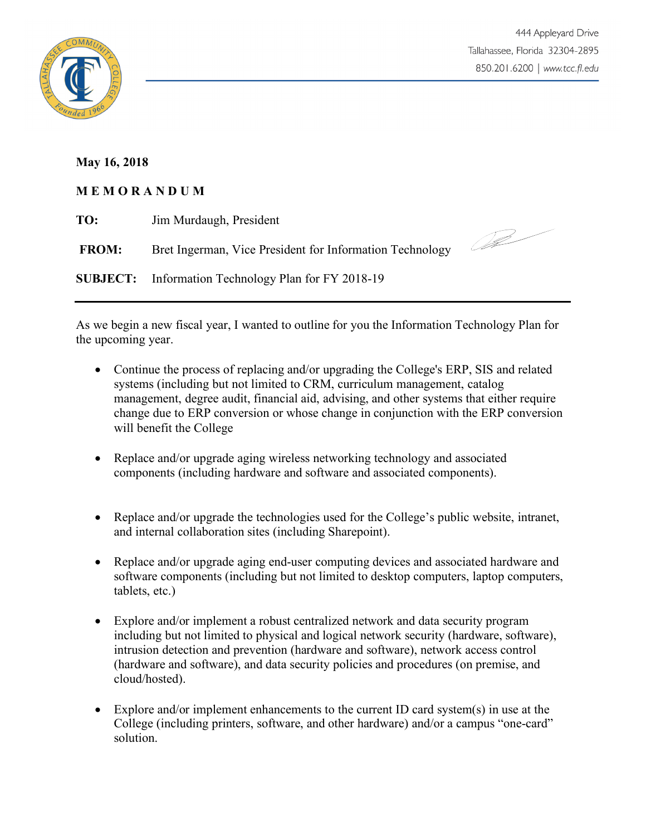



## **May 16, 2018**

## **M E M O R A N D U M**

| TO:          | Jim Murdaugh, President                                    |  |
|--------------|------------------------------------------------------------|--|
| <b>FROM:</b> | Bret Ingerman, Vice President for Information Technology   |  |
|              | <b>SUBJECT:</b> Information Technology Plan for FY 2018-19 |  |

As we begin a new fiscal year, I wanted to outline for you the Information Technology Plan for the upcoming year.

- Continue the process of replacing and/or upgrading the College's ERP, SIS and related systems (including but not limited to CRM, curriculum management, catalog management, degree audit, financial aid, advising, and other systems that either require change due to ERP conversion or whose change in conjunction with the ERP conversion will benefit the College
- Replace and/or upgrade aging wireless networking technology and associated components (including hardware and software and associated components).
- Replace and/or upgrade the technologies used for the College's public website, intranet, and internal collaboration sites (including Sharepoint).
- Replace and/or upgrade aging end-user computing devices and associated hardware and software components (including but not limited to desktop computers, laptop computers, tablets, etc.)
- Explore and/or implement a robust centralized network and data security program including but not limited to physical and logical network security (hardware, software), intrusion detection and prevention (hardware and software), network access control (hardware and software), and data security policies and procedures (on premise, and cloud/hosted).
- Explore and/or implement enhancements to the current ID card system(s) in use at the College (including printers, software, and other hardware) and/or a campus "one-card" solution.